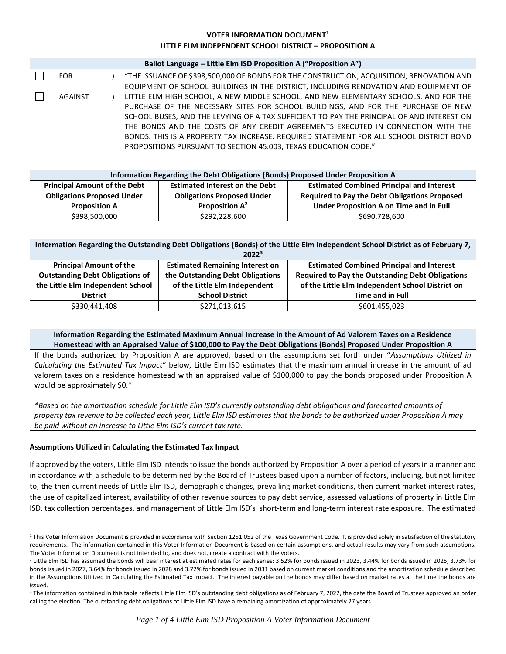# **VOTER INFORMATION DOCUMENT**<sup>1</sup> **LITTLE ELM INDEPENDENT SCHOOL DISTRICT – PROPOSITION A**

| Ballot Language - Little Elm ISD Proposition A ("Proposition A") |                |  |                                                                                           |  |  |  |  |
|------------------------------------------------------------------|----------------|--|-------------------------------------------------------------------------------------------|--|--|--|--|
|                                                                  | <b>FOR</b>     |  | "THE ISSUANCE OF \$398,500,000 OF BONDS FOR THE CONSTRUCTION, ACQUISITION, RENOVATION AND |  |  |  |  |
|                                                                  |                |  | EQUIPMENT OF SCHOOL BUILDINGS IN THE DISTRICT, INCLUDING RENOVATION AND EQUIPMENT OF      |  |  |  |  |
|                                                                  | <b>AGAINST</b> |  | LITTLE ELM HIGH SCHOOL, A NEW MIDDLE SCHOOL, AND NEW ELEMENTARY SCHOOLS, AND FOR THE      |  |  |  |  |
|                                                                  |                |  | PURCHASE OF THE NECESSARY SITES FOR SCHOOL BUILDINGS, AND FOR THE PURCHASE OF NEW         |  |  |  |  |
|                                                                  |                |  | SCHOOL BUSES, AND THE LEVYING OF A TAX SUFFICIENT TO PAY THE PRINCIPAL OF AND INTEREST ON |  |  |  |  |
|                                                                  |                |  | THE BONDS AND THE COSTS OF ANY CREDIT AGREEMENTS EXECUTED IN CONNECTION WITH THE          |  |  |  |  |
|                                                                  |                |  | BONDS. THIS IS A PROPERTY TAX INCREASE. REQUIRED STATEMENT FOR ALL SCHOOL DISTRICT BOND   |  |  |  |  |
|                                                                  |                |  | PROPOSITIONS PURSUANT TO SECTION 45.003, TEXAS EDUCATION CODE."                           |  |  |  |  |

| Information Regarding the Debt Obligations (Bonds) Proposed Under Proposition A                                                  |                                   |                                                      |  |  |  |  |
|----------------------------------------------------------------------------------------------------------------------------------|-----------------------------------|------------------------------------------------------|--|--|--|--|
| <b>Principal Amount of the Debt</b><br><b>Estimated Combined Principal and Interest</b><br><b>Estimated Interest on the Debt</b> |                                   |                                                      |  |  |  |  |
| <b>Obligations Proposed Under</b>                                                                                                | <b>Obligations Proposed Under</b> | <b>Required to Pay the Debt Obligations Proposed</b> |  |  |  |  |
| <b>Proposition A</b>                                                                                                             | Proposition A <sup>2</sup>        | Under Proposition A on Time and in Full              |  |  |  |  |
| \$398,500,000                                                                                                                    | \$292,228,600                     | \$690,728,600                                        |  |  |  |  |

| Information Regarding the Outstanding Debt Obligations (Bonds) of the Little Elm Independent School District as of February 7,<br>2022 <sup>3</sup> |                                                                                            |                                                         |  |  |  |  |  |
|-----------------------------------------------------------------------------------------------------------------------------------------------------|--------------------------------------------------------------------------------------------|---------------------------------------------------------|--|--|--|--|--|
| <b>Principal Amount of the</b>                                                                                                                      | <b>Estimated Combined Principal and Interest</b><br><b>Estimated Remaining Interest on</b> |                                                         |  |  |  |  |  |
| <b>Outstanding Debt Obligations of</b>                                                                                                              | the Outstanding Debt Obligations                                                           | <b>Required to Pay the Outstanding Debt Obligations</b> |  |  |  |  |  |
| the Little Elm Independent School                                                                                                                   | of the Little Elm Independent                                                              | of the Little Elm Independent School District on        |  |  |  |  |  |
| <b>District</b>                                                                                                                                     | <b>School District</b>                                                                     | <b>Time and in Full</b>                                 |  |  |  |  |  |
| \$330,441,408                                                                                                                                       | \$271,013,615                                                                              | \$601,455,023                                           |  |  |  |  |  |

**Information Regarding the Estimated Maximum Annual Increase in the Amount of Ad Valorem Taxes on a Residence Homestead with an Appraised Value of \$100,000 to Pay the Debt Obligations (Bonds) Proposed Under Proposition A**

If the bonds authorized by Proposition A are approved, based on the assumptions set forth under "*Assumptions Utilized in Calculating the Estimated Tax Impact*" below, Little Elm ISD estimates that the maximum annual increase in the amount of ad valorem taxes on a residence homestead with an appraised value of \$100,000 to pay the bonds proposed under Proposition A would be approximately \$0.\*

*\*Based on the amortization schedule for Little Elm ISD's currently outstanding debt obligations and forecasted amounts of property tax revenue to be collected each year, Little Elm ISD estimates that the bonds to be authorized under Proposition A may be paid without an increase to Little Elm ISD's current tax rate.*

## **Assumptions Utilized in Calculating the Estimated Tax Impact**

If approved by the voters, Little Elm ISD intends to issue the bonds authorized by Proposition A over a period of years in a manner and in accordance with a schedule to be determined by the Board of Trustees based upon a number of factors, including, but not limited to, the then current needs of Little Elm ISD, demographic changes, prevailing market conditions, then current market interest rates, the use of capitalized interest, availability of other revenue sources to pay debt service, assessed valuations of property in Little Elm ISD, tax collection percentages, and management of Little Elm ISD's short-term and long-term interest rate exposure. The estimated

<sup>&</sup>lt;sup>1</sup> This Voter Information Document is provided in accordance with Section 1251.052 of the Texas Government Code. It is provided solely in satisfaction of the statutory requirements. The information contained in this Voter Information Document is based on certain assumptions, and actual results may vary from such assumptions. The Voter Information Document is not intended to, and does not, create a contract with the voters.

<sup>&</sup>lt;sup>2</sup> Little Elm ISD has assumed the bonds will bear interest at estimated rates for each series: 3.52% for bonds issued in 2023, 3.44% for bonds issued in 2025, 3.73% for bonds issued in 2027, 3.64% for bonds issued in 2028 and 3.72% for bonds issued in 2031 based on current market conditions and the amortization schedule described in the Assumptions Utilized in Calculating the Estimated Tax Impact. The interest payable on the bonds may differ based on market rates at the time the bonds are issued.

<sup>&</sup>lt;sup>3</sup> The information contained in this table reflects Little Elm ISD's outstanding debt obligations as of February 7, 2022, the date the Board of Trustees approved an order calling the election. The outstanding debt obligations of Little Elm ISD have a remaining amortization of approximately 27 years.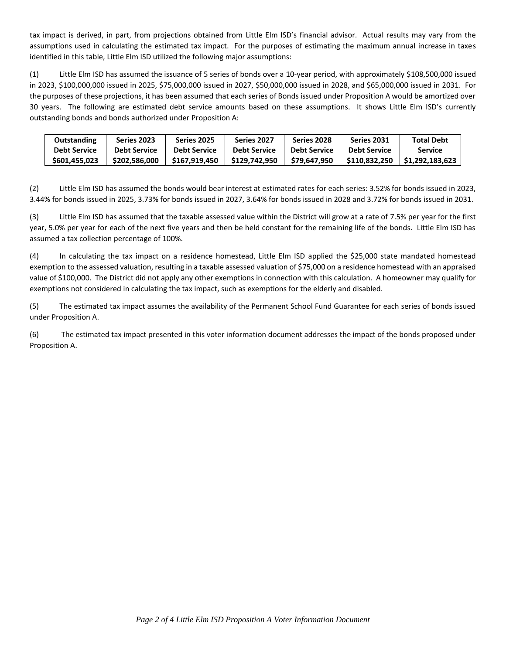tax impact is derived, in part, from projections obtained from Little Elm ISD's financial advisor. Actual results may vary from the assumptions used in calculating the estimated tax impact. For the purposes of estimating the maximum annual increase in taxes identified in this table, Little Elm ISD utilized the following major assumptions:

(1) Little Elm ISD has assumed the issuance of 5 series of bonds over a 10-year period, with approximately \$108,500,000 issued in 2023, \$100,000,000 issued in 2025, \$75,000,000 issued in 2027, \$50,000,000 issued in 2028, and \$65,000,000 issued in 2031. For the purposes of these projections, it has been assumed that each series of Bonds issued under Proposition A would be amortized over 30 years. The following are estimated debt service amounts based on these assumptions. It shows Little Elm ISD's currently outstanding bonds and bonds authorized under Proposition A:

| Outstanding         | Series 2023         | Series 2025         | Series 2027         | Series 2028         | Series 2031         | <b>Total Debt</b> |
|---------------------|---------------------|---------------------|---------------------|---------------------|---------------------|-------------------|
| <b>Debt Service</b> | <b>Debt Service</b> | <b>Debt Service</b> | <b>Debt Service</b> | <b>Debt Service</b> | <b>Debt Service</b> | <b>Service</b>    |
| \$601,455,023       | \$202,586,000       | \$167.919.450       | \$129,742.950       | \$79.647.950        | \$110,832,250       | \$1.292.183.623   |

(2) Little Elm ISD has assumed the bonds would bear interest at estimated rates for each series: 3.52% for bonds issued in 2023, 3.44% for bonds issued in 2025, 3.73% for bonds issued in 2027, 3.64% for bonds issued in 2028 and 3.72% for bonds issued in 2031.

(3) Little Elm ISD has assumed that the taxable assessed value within the District will grow at a rate of 7.5% per year for the first year, 5.0% per year for each of the next five years and then be held constant for the remaining life of the bonds. Little Elm ISD has assumed a tax collection percentage of 100%.

(4) In calculating the tax impact on a residence homestead, Little Elm ISD applied the \$25,000 state mandated homestead exemption to the assessed valuation, resulting in a taxable assessed valuation of \$75,000 on a residence homestead with an appraised value of \$100,000. The District did not apply any other exemptions in connection with this calculation. A homeowner may qualify for exemptions not considered in calculating the tax impact, such as exemptions for the elderly and disabled.

(5) The estimated tax impact assumes the availability of the Permanent School Fund Guarantee for each series of bonds issued under Proposition A.

(6) The estimated tax impact presented in this voter information document addresses the impact of the bonds proposed under Proposition A.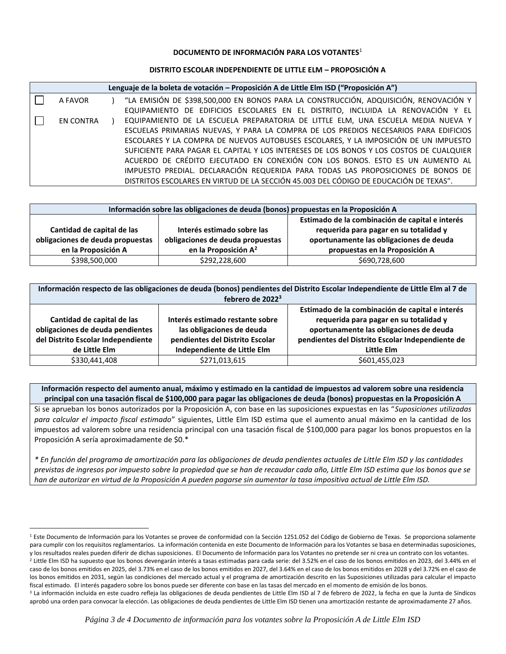## **DOCUMENTO DE INFORMACIÓN PARA LOS VOTANTES**<sup>1</sup>

#### **DISTRITO ESCOLAR INDEPENDIENTE DE LITTLE ELM – PROPOSICIÓN A**

| Lenguaje de la boleta de votación - Proposición A de Little Elm ISD ("Proposición A") |  |                                                                                         |  |  |  |  |  |
|---------------------------------------------------------------------------------------|--|-----------------------------------------------------------------------------------------|--|--|--|--|--|
| A FAVOR                                                                               |  | "LA EMISIÓN DE \$398,500,000 EN BONOS PARA LA CONSTRUCCIÓN, ADQUISICIÓN, RENOVACIÓN Y   |  |  |  |  |  |
|                                                                                       |  | EQUIPAMIENTO DE EDIFICIOS ESCOLARES EN EL DISTRITO, INCLUIDA LA RENOVACIÓN Y EL         |  |  |  |  |  |
| <b>EN CONTRA</b>                                                                      |  | EQUIPAMIENTO DE LA ESCUELA PREPARATORIA DE LITTLE ELM, UNA ESCUELA MEDIA NUEVA Y        |  |  |  |  |  |
|                                                                                       |  | ESCUELAS PRIMARIAS NUEVAS, Y PARA LA COMPRA DE LOS PREDIOS NECESARIOS PARA EDIFICIOS    |  |  |  |  |  |
|                                                                                       |  | ESCOLARES Y LA COMPRA DE NUEVOS AUTOBUSES ESCOLARES, Y LA IMPOSICIÓN DE UN IMPUESTO     |  |  |  |  |  |
|                                                                                       |  | SUFICIENTE PARA PAGAR EL CAPITAL Y LOS INTERESES DE LOS BONOS Y LOS COSTOS DE CUALQUIER |  |  |  |  |  |
|                                                                                       |  | ACUERDO DE CRÉDITO EJECUTADO EN CONEXIÓN CON LOS BONOS. ESTO ES UN AUMENTO AL           |  |  |  |  |  |
|                                                                                       |  | IMPUESTO PREDIAL. DECLARACIÓN REQUERIDA PARA TODAS LAS PROPOSICIONES DE BONOS DE        |  |  |  |  |  |
|                                                                                       |  | DISTRITOS ESCOLARES EN VIRTUD DE LA SECCIÓN 45.003 DEL CÓDIGO DE EDUCACIÓN DE TEXAS".   |  |  |  |  |  |

| Información sobre las obligaciones de deuda (bonos) propuestas en la Proposición A |                                  |                                                 |  |  |  |  |
|------------------------------------------------------------------------------------|----------------------------------|-------------------------------------------------|--|--|--|--|
|                                                                                    |                                  | Estimado de la combinación de capital e interés |  |  |  |  |
| Cantidad de capital de las                                                         | Interés estimado sobre las       | requerida para pagar en su totalidad y          |  |  |  |  |
| obligaciones de deuda propuestas                                                   | obligaciones de deuda propuestas | oportunamente las obligaciones de deuda         |  |  |  |  |
| en la Proposición A                                                                | en la Proposición A <sup>2</sup> | propuestas en la Proposición A                  |  |  |  |  |
| \$398,500,000                                                                      | \$292,228,600                    | \$690,728,600                                   |  |  |  |  |

| Información respecto de las obligaciones de deuda (bonos) pendientes del Distrito Escolar Independiente de Little Elm al 7 de<br>febrero de 2022 <sup>3</sup> |                                                                                                                                |                                                                                                                                                                                                        |  |  |  |
|---------------------------------------------------------------------------------------------------------------------------------------------------------------|--------------------------------------------------------------------------------------------------------------------------------|--------------------------------------------------------------------------------------------------------------------------------------------------------------------------------------------------------|--|--|--|
| Cantidad de capital de las<br>obligaciones de deuda pendientes<br>del Distrito Escolar Independiente<br>de Little Elm                                         | Interés estimado restante sobre<br>las obligaciones de deuda<br>pendientes del Distrito Escolar<br>Independiente de Little Elm | Estimado de la combinación de capital e interés<br>requerida para pagar en su totalidad y<br>oportunamente las obligaciones de deuda<br>pendientes del Distrito Escolar Independiente de<br>Little Elm |  |  |  |
| \$330,441,408                                                                                                                                                 | \$271,013,615                                                                                                                  | \$601,455,023                                                                                                                                                                                          |  |  |  |

**Información respecto del aumento anual, máximo y estimado en la cantidad de impuestos ad valorem sobre una residencia principal con una tasación fiscal de \$100,000 para pagar las obligaciones de deuda (bonos) propuestas en la Proposición A**

Si se aprueban los bonos autorizados por la Proposición A, con base en las suposiciones expuestas en las "*Suposiciones utilizadas para calcular el impacto fiscal estimado*" siguientes, Little Elm ISD estima que el aumento anual máximo en la cantidad de los impuestos ad valorem sobre una residencia principal con una tasación fiscal de \$100,000 para pagar los bonos propuestos en la Proposición A sería aproximadamente de \$0.\*

*\* En función del programa de amortización para las obligaciones de deuda pendientes actuales de Little Elm ISD y las cantidades previstas de ingresos por impuesto sobre la propiedad que se han de recaudar cada año, Little Elm ISD estima que los bonos que se han de autorizar en virtud de la Proposición A pueden pagarse sin aumentar la tasa impositiva actual de Little Elm ISD.*

<sup>&</sup>lt;sup>1</sup> Este Documento de Información para los Votantes se provee de conformidad con la Sección 1251.052 del Código de Gobierno de Texas. Se proporciona solamente para cumplir con los requisitos reglamentarios. La información contenida en este Documento de Información para los Votantes se basa en determinadas suposiciones, y los resultados reales pueden diferir de dichas suposiciones. El Documento de Información para los Votantes no pretende ser ni crea un contrato con los votantes. <sup>2</sup> Little Elm ISD ha supuesto que los bonos devengarán interés a tasas estimadas para cada serie: del 3.52% en el caso de los bonos emitidos en 2023, del 3.44% en el caso de los bonos emitidos en 2025, del 3.73% en el caso de los bonos emitidos en 2027, del 3.64% en el caso de los bonos emitidos en 2028 y del 3.72% en el caso de los bonos emitidos en 2031, según las condiciones del mercado actual y el programa de amortización descrito en las Suposiciones utilizadas para calcular el impacto fiscal estimado. El interés pagadero sobre los bonos puede ser diferente con base en las tasas del mercado en el momento de emisión de los bonos. <sup>3</sup> La información incluida en este cuadro refleja las obligaciones de deuda pendientes de Little Elm ISD al 7 de febrero de 2022, la fecha en que la Junta de Síndicos aprobó una orden para convocar la elección. Las obligaciones de deuda pendientes de Little Elm ISD tienen una amortización restante de aproximadamente 27 años.